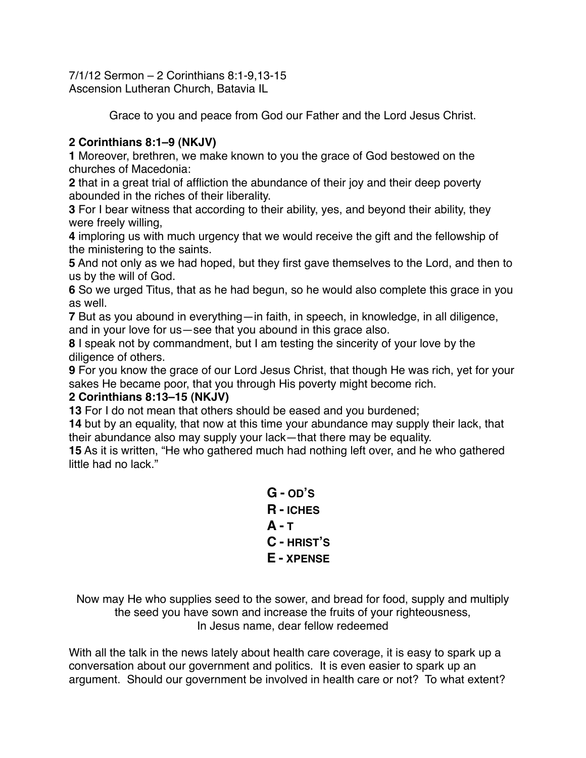7/1/12 Sermon – 2 Corinthians 8:1-9,13-15 Ascension Lutheran Church, Batavia IL

Grace to you and peace from God our Father and the Lord Jesus Christ.

# **2 Corinthians 8:1–9 (NKJV)**

**1** Moreover, brethren, we make known to you the grace of God bestowed on the churches of Macedonia:

**2** that in a great trial of affliction the abundance of their joy and their deep poverty abounded in the riches of their liberality.

**3** For I bear witness that according to their ability, yes, and beyond their ability, they were freely willing,

**4** imploring us with much urgency that we would receive the gift and the fellowship of the ministering to the saints.

**5** And not only as we had hoped, but they first gave themselves to the Lord, and then to us by the will of God.

**6** So we urged Titus, that as he had begun, so he would also complete this grace in you as well.

**7** But as you abound in everything—in faith, in speech, in knowledge, in all diligence, and in your love for us—see that you abound in this grace also.

**8** I speak not by commandment, but I am testing the sincerity of your love by the diligence of others.

**9** For you know the grace of our Lord Jesus Christ, that though He was rich, yet for your sakes He became poor, that you through His poverty might become rich.

## **2 Corinthians 8:13–15 (NKJV)**

**13** For I do not mean that others should be eased and you burdened;

**14** but by an equality, that now at this time your abundance may supply their lack, that their abundance also may supply your lack—that there may be equality.

**15** As it is written, "He who gathered much had nothing left over, and he who gathered little had no lack."

> **G - OD'S R - ICHES A - T C - HRIST'S E - XPENSE**

Now may He who supplies seed to the sower, and bread for food, supply and multiply the seed you have sown and increase the fruits of your righteousness, In Jesus name, dear fellow redeemed

With all the talk in the news lately about health care coverage, it is easy to spark up a conversation about our government and politics. It is even easier to spark up an argument. Should our government be involved in health care or not? To what extent?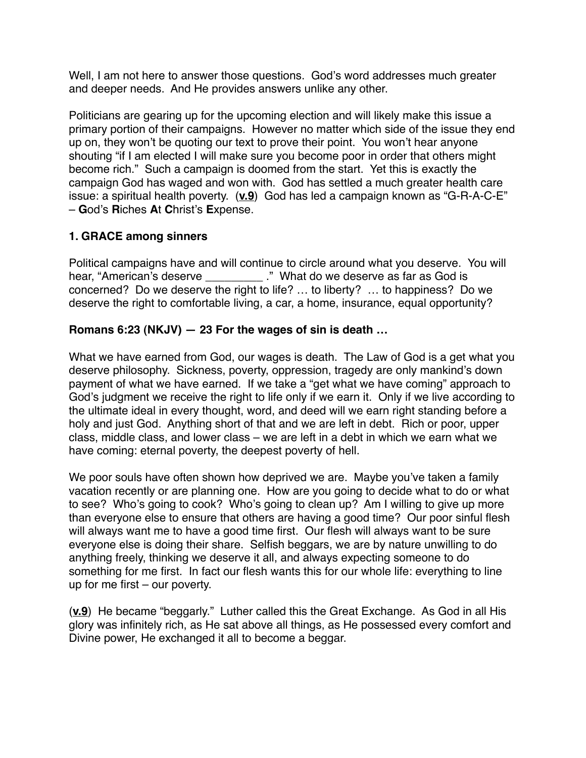Well, I am not here to answer those questions. God's word addresses much greater and deeper needs. And He provides answers unlike any other.

Politicians are gearing up for the upcoming election and will likely make this issue a primary portion of their campaigns. However no matter which side of the issue they end up on, they won't be quoting our text to prove their point. You won't hear anyone shouting "if I am elected I will make sure you become poor in order that others might become rich." Such a campaign is doomed from the start. Yet this is exactly the campaign God has waged and won with. God has settled a much greater health care issue: a spiritual health poverty. (**v.9**) God has led a campaign known as "G-R-A-C-E" – **G**od's **R**iches **A**t **C**hrist's **E**xpense.

# **1. GRACE among sinners**

Political campaigns have and will continue to circle around what you deserve. You will hear, "American's deserve \_\_\_\_\_\_\_\_\_\_\_." What do we deserve as far as God is concerned? Do we deserve the right to life? … to liberty? … to happiness? Do we deserve the right to comfortable living, a car, a home, insurance, equal opportunity?

# **Romans 6:23 (NKJV) — 23 For the wages of sin is death …**

What we have earned from God, our wages is death. The Law of God is a get what you deserve philosophy. Sickness, poverty, oppression, tragedy are only mankind's down payment of what we have earned. If we take a "get what we have coming" approach to God's judgment we receive the right to life only if we earn it. Only if we live according to the ultimate ideal in every thought, word, and deed will we earn right standing before a holy and just God. Anything short of that and we are left in debt. Rich or poor, upper class, middle class, and lower class – we are left in a debt in which we earn what we have coming: eternal poverty, the deepest poverty of hell.

We poor souls have often shown how deprived we are. Maybe you've taken a family vacation recently or are planning one. How are you going to decide what to do or what to see? Who's going to cook? Who's going to clean up? Am I willing to give up more than everyone else to ensure that others are having a good time? Our poor sinful flesh will always want me to have a good time first. Our flesh will always want to be sure everyone else is doing their share. Selfish beggars, we are by nature unwilling to do anything freely, thinking we deserve it all, and always expecting someone to do something for me first. In fact our flesh wants this for our whole life: everything to line up for me first – our poverty.

(**v.9**) He became "beggarly." Luther called this the Great Exchange. As God in all His glory was infinitely rich, as He sat above all things, as He possessed every comfort and Divine power, He exchanged it all to become a beggar.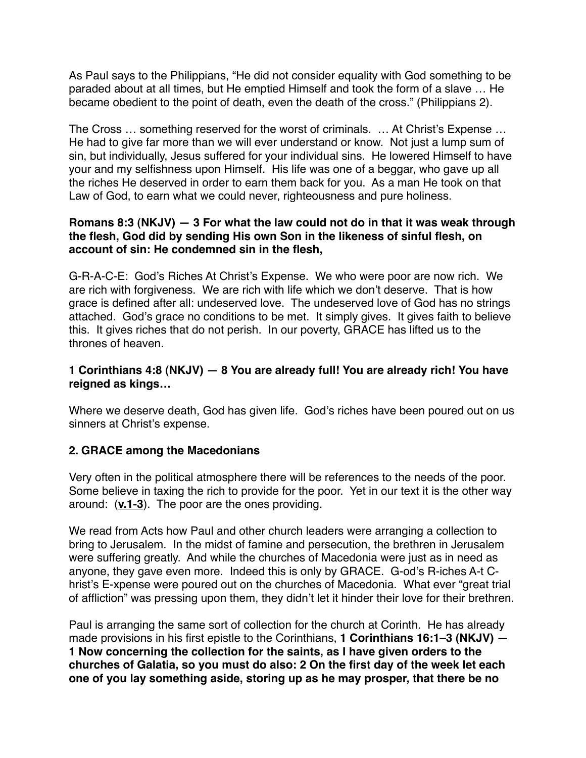As Paul says to the Philippians, "He did not consider equality with God something to be paraded about at all times, but He emptied Himself and took the form of a slave … He became obedient to the point of death, even the death of the cross." (Philippians 2).

The Cross … something reserved for the worst of criminals. … At Christ's Expense … He had to give far more than we will ever understand or know. Not just a lump sum of sin, but individually, Jesus suffered for your individual sins. He lowered Himself to have your and my selfishness upon Himself. His life was one of a beggar, who gave up all the riches He deserved in order to earn them back for you. As a man He took on that Law of God, to earn what we could never, righteousness and pure holiness.

### **Romans 8:3 (NKJV) — 3 For what the law could not do in that it was weak through the flesh, God did by sending His own Son in the likeness of sinful flesh, on account of sin: He condemned sin in the flesh,**

G-R-A-C-E: God's Riches At Christ's Expense. We who were poor are now rich. We are rich with forgiveness. We are rich with life which we don't deserve. That is how grace is defined after all: undeserved love. The undeserved love of God has no strings attached. God's grace no conditions to be met. It simply gives. It gives faith to believe this. It gives riches that do not perish. In our poverty, GRACE has lifted us to the thrones of heaven.

## **1 Corinthians 4:8 (NKJV) — 8 You are already full! You are already rich! You have reigned as kings…**

Where we deserve death, God has given life. God's riches have been poured out on us sinners at Christ's expense.

## **2. GRACE among the Macedonians**

Very often in the political atmosphere there will be references to the needs of the poor. Some believe in taxing the rich to provide for the poor. Yet in our text it is the other way around: (**v.1-3**). The poor are the ones providing.

We read from Acts how Paul and other church leaders were arranging a collection to bring to Jerusalem. In the midst of famine and persecution, the brethren in Jerusalem were suffering greatly. And while the churches of Macedonia were just as in need as anyone, they gave even more. Indeed this is only by GRACE. G-od's R-iches A-t Christ's E-xpense were poured out on the churches of Macedonia. What ever "great trial of affliction" was pressing upon them, they didn't let it hinder their love for their brethren.

Paul is arranging the same sort of collection for the church at Corinth. He has already made provisions in his first epistle to the Corinthians, **1 Corinthians 16:1–3 (NKJV) — 1 Now concerning the collection for the saints, as I have given orders to the churches of Galatia, so you must do also: 2 On the first day of the week let each one of you lay something aside, storing up as he may prosper, that there be no**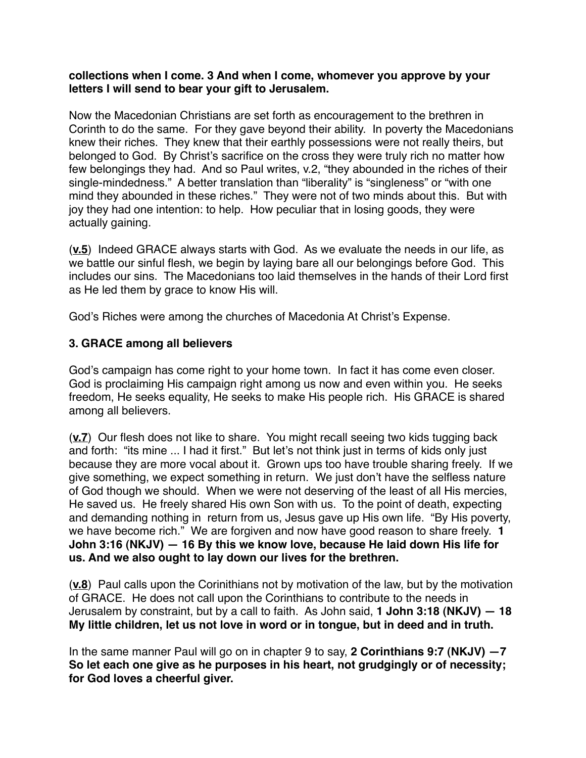#### **collections when I come. 3 And when I come, whomever you approve by your letters I will send to bear your gift to Jerusalem.**

Now the Macedonian Christians are set forth as encouragement to the brethren in Corinth to do the same. For they gave beyond their ability. In poverty the Macedonians knew their riches. They knew that their earthly possessions were not really theirs, but belonged to God. By Christ's sacrifice on the cross they were truly rich no matter how few belongings they had. And so Paul writes, v.2, "they abounded in the riches of their single-mindedness." A better translation than "liberality" is "singleness" or "with one mind they abounded in these riches." They were not of two minds about this. But with joy they had one intention: to help. How peculiar that in losing goods, they were actually gaining.

(**v.5**) Indeed GRACE always starts with God. As we evaluate the needs in our life, as we battle our sinful flesh, we begin by laying bare all our belongings before God. This includes our sins. The Macedonians too laid themselves in the hands of their Lord first as He led them by grace to know His will.

God's Riches were among the churches of Macedonia At Christ's Expense.

### **3. GRACE among all believers**

God's campaign has come right to your home town. In fact it has come even closer. God is proclaiming His campaign right among us now and even within you. He seeks freedom, He seeks equality, He seeks to make His people rich. His GRACE is shared among all believers.

(**v.7**) Our flesh does not like to share. You might recall seeing two kids tugging back and forth: "its mine ... I had it first." But let's not think just in terms of kids only just because they are more vocal about it. Grown ups too have trouble sharing freely. If we give something, we expect something in return. We just don't have the selfless nature of God though we should. When we were not deserving of the least of all His mercies, He saved us. He freely shared His own Son with us. To the point of death, expecting and demanding nothing in return from us, Jesus gave up His own life. "By His poverty, we have become rich." We are forgiven and now have good reason to share freely. **1 John 3:16 (NKJV) — 16 By this we know love, because He laid down His life for us. And we also ought to lay down our lives for the brethren.**

(**v.8**) Paul calls upon the Corinithians not by motivation of the law, but by the motivation of GRACE. He does not call upon the Corinthians to contribute to the needs in Jerusalem by constraint, but by a call to faith. As John said, **1 John 3:18 (NKJV) — 18 My little children, let us not love in word or in tongue, but in deed and in truth.**

In the same manner Paul will go on in chapter 9 to say, **2 Corinthians 9:7 (NKJV) —7 So let each one give as he purposes in his heart, not grudgingly or of necessity; for God loves a cheerful giver.**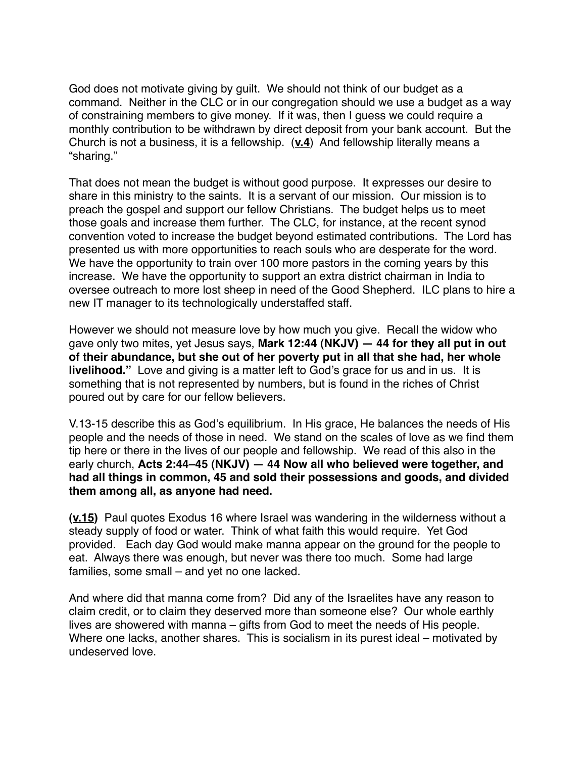God does not motivate giving by guilt. We should not think of our budget as a command. Neither in the CLC or in our congregation should we use a budget as a way of constraining members to give money. If it was, then I guess we could require a monthly contribution to be withdrawn by direct deposit from your bank account. But the Church is not a business, it is a fellowship. (**v.4**) And fellowship literally means a "sharing."

That does not mean the budget is without good purpose. It expresses our desire to share in this ministry to the saints. It is a servant of our mission. Our mission is to preach the gospel and support our fellow Christians. The budget helps us to meet those goals and increase them further. The CLC, for instance, at the recent synod convention voted to increase the budget beyond estimated contributions. The Lord has presented us with more opportunities to reach souls who are desperate for the word. We have the opportunity to train over 100 more pastors in the coming years by this increase. We have the opportunity to support an extra district chairman in India to oversee outreach to more lost sheep in need of the Good Shepherd. ILC plans to hire a new IT manager to its technologically understaffed staff.

However we should not measure love by how much you give. Recall the widow who gave only two mites, yet Jesus says, **Mark 12:44 (NKJV) — 44 for they all put in out of their abundance, but she out of her poverty put in all that she had, her whole livelihood."** Love and giving is a matter left to God's grace for us and in us. It is something that is not represented by numbers, but is found in the riches of Christ poured out by care for our fellow believers.

V.13-15 describe this as God's equilibrium. In His grace, He balances the needs of His people and the needs of those in need. We stand on the scales of love as we find them tip here or there in the lives of our people and fellowship. We read of this also in the early church, **Acts 2:44–45 (NKJV) — 44 Now all who believed were together, and had all things in common, 45 and sold their possessions and goods, and divided them among all, as anyone had need.**

**(v.15)** Paul quotes Exodus 16 where Israel was wandering in the wilderness without a steady supply of food or water. Think of what faith this would require. Yet God provided. Each day God would make manna appear on the ground for the people to eat. Always there was enough, but never was there too much. Some had large families, some small – and yet no one lacked.

And where did that manna come from? Did any of the Israelites have any reason to claim credit, or to claim they deserved more than someone else? Our whole earthly lives are showered with manna – gifts from God to meet the needs of His people. Where one lacks, another shares. This is socialism in its purest ideal – motivated by undeserved love.